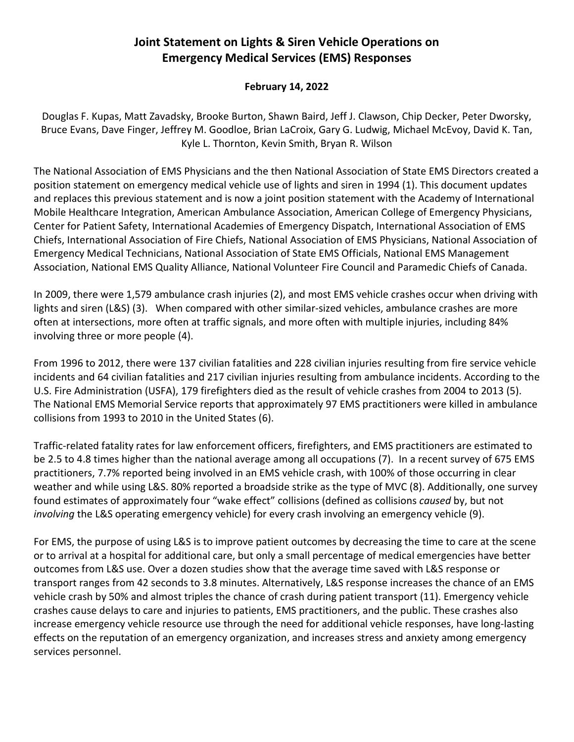## **Joint Statement on Lights & Siren Vehicle Operations on Emergency Medical Services (EMS) Responses**

## **February 14, 2022**

Douglas F. Kupas, Matt Zavadsky, Brooke Burton, Shawn Baird, Jeff J. Clawson, Chip Decker, Peter Dworsky, Bruce Evans, Dave Finger, Jeffrey M. Goodloe, Brian LaCroix, Gary G. Ludwig, Michael McEvoy, David K. Tan, Kyle L. Thornton, Kevin Smith, Bryan R. Wilson

The National Association of EMS Physicians and the then National Association of State EMS Directors created a position statement on emergency medical vehicle use of lights and siren in 1994 (1). This document updates and replaces this previous statement and is now a joint position statement with the Academy of International Mobile Healthcare Integration, American Ambulance Association, American College of Emergency Physicians, Center for Patient Safety, International Academies of Emergency Dispatch, International Association of EMS Chiefs, International Association of Fire Chiefs, National Association of EMS Physicians, National Association of Emergency Medical Technicians, National Association of State EMS Officials, National EMS Management Association, National EMS Quality Alliance, National Volunteer Fire Council and Paramedic Chiefs of Canada.

In 2009, there were 1,579 ambulance crash injuries (2), and most EMS vehicle crashes occur when driving with lights and siren (L&S) (3). When compared with other similar-sized vehicles, ambulance crashes are more often at intersections, more often at traffic signals, and more often with multiple injuries, including 84% involving three or more people (4).

From 1996 to 2012, there were 137 civilian fatalities and 228 civilian injuries resulting from fire service vehicle incidents and 64 civilian fatalities and 217 civilian injuries resulting from ambulance incidents. According to the U.S. Fire Administration (USFA), 179 firefighters died as the result of vehicle crashes from 2004 to 2013 (5). The National EMS Memorial Service reports that approximately 97 EMS practitioners were killed in ambulance collisions from 1993 to 2010 in the United States (6).

Traffic-related fatality rates for law enforcement officers, firefighters, and EMS practitioners are estimated to be 2.5 to 4.8 times higher than the national average among all occupations (7). In a recent survey of 675 EMS practitioners, 7.7% reported being involved in an EMS vehicle crash, with 100% of those occurring in clear weather and while using L&S. 80% reported a broadside strike as the type of MVC (8). Additionally, one survey found estimates of approximately four "wake effect" collisions (defined as collisions *caused* by, but not *involving* the L&S operating emergency vehicle) for every crash involving an emergency vehicle (9).

For EMS, the purpose of using L&S is to improve patient outcomes by decreasing the time to care at the scene or to arrival at a hospital for additional care, but only a small percentage of medical emergencies have better outcomes from L&S use. Over a dozen studies show that the average time saved with L&S response or transport ranges from 42 seconds to 3.8 minutes. Alternatively, L&S response increases the chance of an EMS vehicle crash by 50% and almost triples the chance of crash during patient transport (11). Emergency vehicle crashes cause delays to care and injuries to patients, EMS practitioners, and the public. These crashes also increase emergency vehicle resource use through the need for additional vehicle responses, have long-lasting effects on the reputation of an emergency organization, and increases stress and anxiety among emergency services personnel.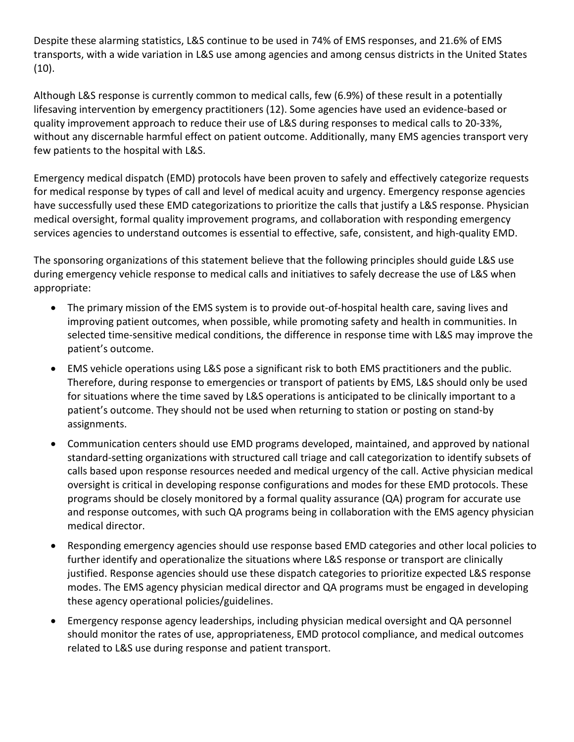Despite these alarming statistics, L&S continue to be used in 74% of EMS responses, and 21.6% of EMS transports, with a wide variation in L&S use among agencies and among census districts in the United States (10).

Although L&S response is currently common to medical calls, few (6.9%) of these result in a potentially lifesaving intervention by emergency practitioners (12). Some agencies have used an evidence-based or quality improvement approach to reduce their use of L&S during responses to medical calls to 20-33%, without any discernable harmful effect on patient outcome. Additionally, many EMS agencies transport very few patients to the hospital with L&S.

Emergency medical dispatch (EMD) protocols have been proven to safely and effectively categorize requests for medical response by types of call and level of medical acuity and urgency. Emergency response agencies have successfully used these EMD categorizations to prioritize the calls that justify a L&S response. Physician medical oversight, formal quality improvement programs, and collaboration with responding emergency services agencies to understand outcomes is essential to effective, safe, consistent, and high-quality EMD.

The sponsoring organizations of this statement believe that the following principles should guide L&S use during emergency vehicle response to medical calls and initiatives to safely decrease the use of L&S when appropriate:

- The primary mission of the EMS system is to provide out-of-hospital health care, saving lives and improving patient outcomes, when possible, while promoting safety and health in communities. In selected time-sensitive medical conditions, the difference in response time with L&S may improve the patient's outcome.
- EMS vehicle operations using L&S pose a significant risk to both EMS practitioners and the public. Therefore, during response to emergencies or transport of patients by EMS, L&S should only be used for situations where the time saved by L&S operations is anticipated to be clinically important to a patient's outcome. They should not be used when returning to station or posting on stand-by assignments.
- Communication centers should use EMD programs developed, maintained, and approved by national standard-setting organizations with structured call triage and call categorization to identify subsets of calls based upon response resources needed and medical urgency of the call. Active physician medical oversight is critical in developing response configurations and modes for these EMD protocols. These programs should be closely monitored by a formal quality assurance (QA) program for accurate use and response outcomes, with such QA programs being in collaboration with the EMS agency physician medical director.
- Responding emergency agencies should use response based EMD categories and other local policies to further identify and operationalize the situations where L&S response or transport are clinically justified. Response agencies should use these dispatch categories to prioritize expected L&S response modes. The EMS agency physician medical director and QA programs must be engaged in developing these agency operational policies/guidelines.
- Emergency response agency leaderships, including physician medical oversight and QA personnel should monitor the rates of use, appropriateness, EMD protocol compliance, and medical outcomes related to L&S use during response and patient transport.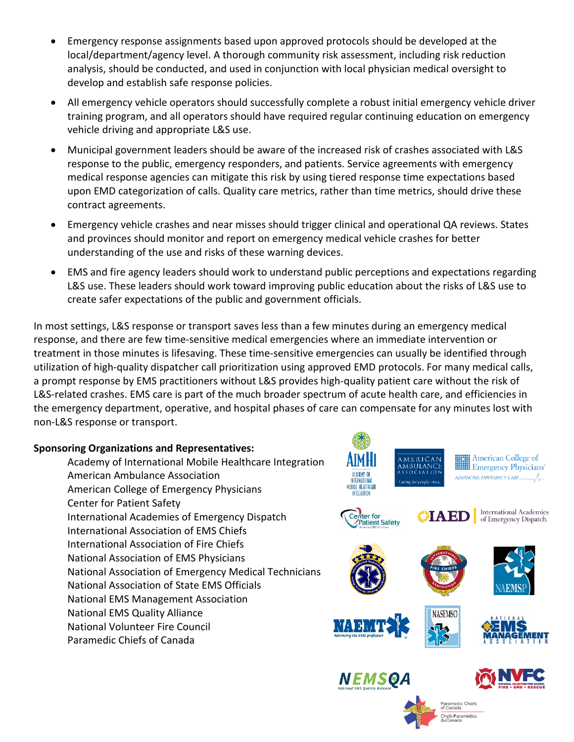- Emergency response assignments based upon approved protocols should be developed at the local/department/agency level. A thorough community risk assessment, including risk reduction analysis, should be conducted, and used in conjunction with local physician medical oversight to develop and establish safe response policies.
- All emergency vehicle operators should successfully complete a robust initial emergency vehicle driver training program, and all operators should have required regular continuing education on emergency vehicle driving and appropriate L&S use.
- Municipal government leaders should be aware of the increased risk of crashes associated with L&S response to the public, emergency responders, and patients. Service agreements with emergency medical response agencies can mitigate this risk by using tiered response time expectations based upon EMD categorization of calls. Quality care metrics, rather than time metrics, should drive these contract agreements.
- Emergency vehicle crashes and near misses should trigger clinical and operational QA reviews. States and provinces should monitor and report on emergency medical vehicle crashes for better understanding of the use and risks of these warning devices.
- EMS and fire agency leaders should work to understand public perceptions and expectations regarding L&S use. These leaders should work toward improving public education about the risks of L&S use to create safer expectations of the public and government officials.

In most settings, L&S response or transport saves less than a few minutes during an emergency medical response, and there are few time-sensitive medical emergencies where an immediate intervention or treatment in those minutes is lifesaving. These time-sensitive emergencies can usually be identified through utilization of high-quality dispatcher call prioritization using approved EMD protocols. For many medical calls, a prompt response by EMS practitioners without L&S provides high-quality patient care without the risk of L&S-related crashes. EMS care is part of the much broader spectrum of acute health care, and efficiencies in the emergency department, operative, and hospital phases of care can compensate for any minutes lost with non-L&S response or transport.

## **Sponsoring Organizations and Representatives:**

Academy of International Mobile Healthcare Integration American Ambulance Association American College of Emergency Physicians Center for Patient Safety International Academies of Emergency Dispatch International Association of EMS Chiefs International Association of Fire Chiefs National Association of EMS Physicians National Association of Emergency Medical Technicians National Association of State EMS Officials National EMS Management Association National EMS Quality Alliance National Volunteer Fire Council Paramedic Chiefs of Canada



Paramedic Chiefs<br>of Canada Chefs Paramédics